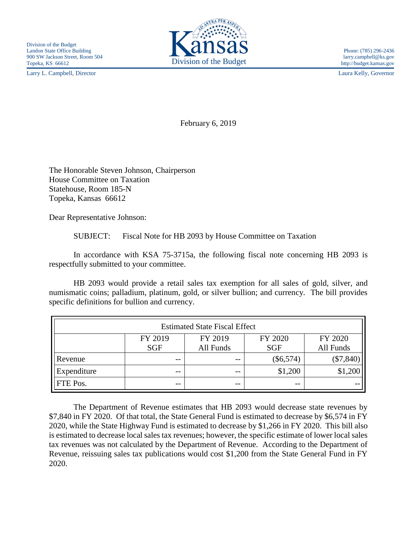Larry L. Campbell, Director Laura Kelly, Governor



February 6, 2019

The Honorable Steven Johnson, Chairperson House Committee on Taxation Statehouse, Room 185-N Topeka, Kansas 66612

Dear Representative Johnson:

SUBJECT: Fiscal Note for HB 2093 by House Committee on Taxation

In accordance with KSA 75-3715a, the following fiscal note concerning HB 2093 is respectfully submitted to your committee.

HB 2093 would provide a retail sales tax exemption for all sales of gold, silver, and numismatic coins; palladium, platinum, gold, or silver bullion; and currency. The bill provides specific definitions for bullion and currency.

| <b>Estimated State Fiscal Effect</b> |            |           |             |             |
|--------------------------------------|------------|-----------|-------------|-------------|
|                                      | FY 2019    | FY 2019   | FY 2020     | FY 2020     |
|                                      | <b>SGF</b> | All Funds | <b>SGF</b>  | All Funds   |
| Revenue                              | $- -$      | $ -$      | $(\$6,574)$ | $(\$7,840)$ |
| Expenditure                          | $- -$      | $ -$      | \$1,200     | \$1,200     |
| FTE Pos.                             | $- -$      | --        | $ -$        |             |

The Department of Revenue estimates that HB 2093 would decrease state revenues by \$7,840 in FY 2020. Of that total, the State General Fund is estimated to decrease by \$6,574 in FY 2020, while the State Highway Fund is estimated to decrease by \$1,266 in FY 2020. This bill also is estimated to decrease local sales tax revenues; however, the specific estimate of lower local sales tax revenues was not calculated by the Department of Revenue. According to the Department of Revenue, reissuing sales tax publications would cost \$1,200 from the State General Fund in FY 2020.